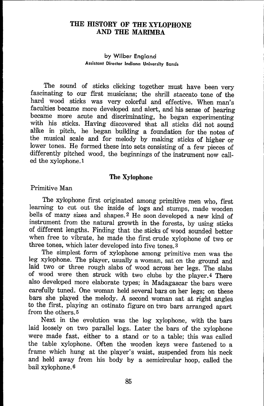### **THE HISTORY OF THE XYLOPHONE AND THE MARIMBA**

#### by Wilber England **Assistant Director indiana University Bands**

The sound of sticks clicking together must have been very fascinating to our first musicians; the shrill staccato tone of the hard wood sticks was very colorful and effective. When man's faculties became more developed and alert, and his sense of hearing became more acute and discriminating, he began experimenting with his sticks. Having discovered that all sticks did not sound alike in pitch, he began building a foundation for the notes of the musical scale and for melody by making sticks of higher or lower tones. He formed these into sets consisting of a few pieces of differently pitched wood, the beginnings of the instrument now called the xylophone. 1

#### The Xylophone

#### Primitive Man

The xylophone first originated among primitive men who, first learning to cut out the inside of logs and stumps, made wooden bells of many sizes and shapes. 2 He soon developed a new kind of instrument from the natural growth in the forests, by using sticks of different lengths. Finding that the sticks of wood sounded better when free to vibrate, he made the first crude xylophone of two or three tones, which later developed into five tones. 3

The simplest form of xylophone among primitive men was the leg xylophone. The player, usually a woman, sat on the ground and laid two or three rough slabs of wood across her legs. The slabs of wood were then struck with two clubs by the player.4 There also developed more elaborate types; in Madagascar the bars were carefully tuned. One woman held several bars on her legs; on these bars she played the melody. A second woman sat at right angles to the first, playing an ostinato figure on two bars arranged apart from the others. 5

Next in the evolution was the log xylophone, with the bars laid loosely on two parallel logs. Later the bars of the xylophone were made fast, either to a stand or to a table; this was called the table xylophone. Often the wooden keys were fastened to a frame which hung at the player's waist, suspended from his neck and held away from his body by a semicircular hoop, called the bail xylophone. 6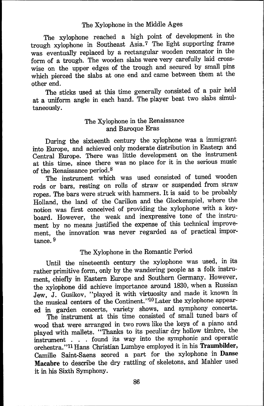### The Xylophone in the Middle Ages

The xylophone reached a high point of development in the trough xylophone in Southeast Asia.7 The light supporting frame was eventually replaced by a rectangular wooden resonator in the form of a trough. The wooden slabs were very carefully laid crosswise on the upper edges of the trough and secured by small pins which pierced the slabs at one end and came between them at the other end.

The sticks used at this time generally consisted of a pair held at a uniform angle in each hand. The player beat two slabs simultaneously.

### The Xylophone in the Renaissance and Baroque Eras

During the sixteenth century the xylophone was a immigrant into Europe, and achieved only moderate distribution in Eastern and Central Europe. There was little development on the instrument at this time, since there was no place for it in the serious music of the Renaissance period. 8

The instrument which was used consisted of tuned wooden rods or bars, resting on rolls of straw or suspended from straw ropes. The bars were struck with hammers. It is said to be probably Holland, the land of the Carillon and the Glockenspiel, where the notion was first conceived of providing the xylophone with a keyboard. However, the weak and inexpressive tone of the instrument by no means justified the expense of this technical improvement, the innovation was never regarded as of practical importance. 9

## The Xylophone in the Romantic Period

Until the nineteenth century the xylophone was used, in its rather primitive form, only by the wandering people as a folk instrument, chiefly in Eastern Europe and Southern Germany. However, the xylophone did achieve importance around 1830, when a Russian Jew, J. Gusikov, "played it with virtuosity and made it known in the musical centers of the Continent."<sup>10</sup> Later the xylophone appeared in garden concerts, variety shows, and symphony concerts.

The instrument at this time consisted of small tuned bars of wood that were arranged in two rows like the keys of a piano and played with mallets. "Thanks to its peculiar dry hollow timbre, the instrument . . . found its way into the symphonic and operatic orchestra. ''11 Hans Christian Lumbye employed it in his Traumbilder, Camille Saint-Saens scored a part for the xylophone in Danse Macabre to describe the dry rattling of skeletons, and Mahler used it in his Sixth Symphony.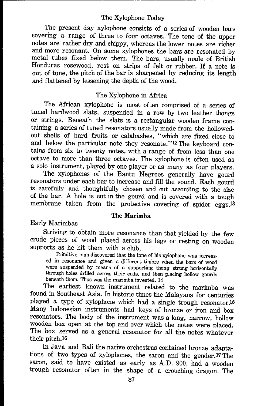### The Xylophone Today

The present day xylophone consists of a series of wooden bars covering a range of three to four octaves. The tone of the upper notes are rather dry and chippy, whereas the lower notes are richer and more resonant. On some xylophones the bars are resonated by metal tubes fixed below them. The bars, usually made of British Honduras rosewood, rest on strips of felt or rubber. If a note is out of tune, the pitch of the bar is sharpened by reducing its length and flattened by lessening the depth of the wood.

### The Xylophone in Africa

The African xylophone is most often comprised of a series of tuned hardwood slats, suspended in a row by two leather thongs or strings. Beneath the slats is a rectangular wooden frame containing a series of tuned resonators usually made from the hollowedout shells of hard fruits or calabashes, "which are fixed close to and below the particular note they resonate."<sup>12</sup> The keyboard contains from six to twenty notes, with a range of from less than one octave to more than three octaves. The xylophone is often used as a solo instrument, played by one player or as many as four players.

The xylophones of the Bantu Negroes generally have gourd resonators under each bar to increase and fill the sound. Each gourd is carefully and thoughtfully chosen and cut according to the size of the bar. A hole is cut in the gourd and is covered with a tough membrane taken from the protective covering of spider eggs.13

#### **The Marimba**

Early Marimbas

Striving to obtain more resonance than that yielded by the few crude pieces of wood placed across his legs or resting on wooden supports as he hit them with a club,

Primitive man discovered that the tone of his xylophone was increased in resonance and given a different timbre when the bars of wood were suspended by means of a supporting thong strung horizontally through holes drilled across their ends, and then placing hollow gourds beneath them. Thus was the marimba invented. 14

The earliest known instrument related to the marimba was found in Southeast Asia. In historic times the Malayans for centuries played a type of xylophone which had a single trough resonator.<sup>15</sup> Many Indonesian instruments had keys of bronze or iron and box resonators. The body of the instrument was a long, narrow, hollow wooden box open at the top and over which the notes were placed. The box served as a general resonator for all the notes whatever their pitch.16

In Java and Bali the native orchestras contained bronze adaptations of two types of xylophones, the saron and the gender.17 The saron, said to have existed as early as A.D. 900, had a wooden trough resonator often in the shape of a crouching dragon. The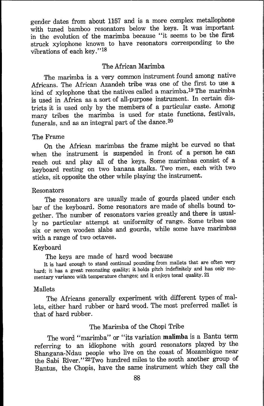gender dates from about 1t57 and is a more complex metallophone with tuned bamboo resonators below the keys. It was important in the evolution of the marimba because "it seems to be the first struck xylophone known to have resonators corresponding to the vibrations of each key. ''18

#### The African Marimba

The marimba is a very common instrument found among native Africans. The African Azandeh tribe was one of the first to use a kind of xylophone that the natives called a marimba. 19 The marimba is used in Africa as a sort of all-purpose instrument. In certain districts it is used only by the members of a particular caste. Among many tribes the marimba is used for state functions, festivals, funerals, and as an integral part of the dance.  $20$ 

#### The Frame

On the African marimbas the frame might be curved so that when the instrument is suspended in front of a person he can reach out and play all of the keys. Some marimbas consist of a keyboard resting on two banana stalks. Two men, each with two sticks, sit opposite the other while playing the instrument.

#### Resonators

The resonators are usually made of gourds placed under each bar of the keyboard. Some resonators are made of shells bound together. The number of resonators varies greatly and there is usually no particular attempt at uniformity of range. Some tribes use six or seven wooden slabs and gourds, while some have marimbas with a range of two octaves.

### Keyboard

The keys are made of hard wood because

It is hard enough to stand continual pounding from mallets that are often very hard; it has a great resonating quality; it holds pitch indefinitely and has only momentary variance with temperature changes; and it enjoys tonal quality. 21

### Mallets

The Africans generally experiment with different types of mallets, either hard rubber or hard wood. The most preferred mallet is that of hard rubber.

### The Marimba of the Chopi Tribe

The word "marimba" or "its variation malimba is a Bantu term referring to an idiophone with gourd resonators played by the Shangana-Ndau people who live on the coast of Mozambique near the Sabi River. " 22 Two hundred miles to the south another group of Bantus, the Chopis, have the same instrument which they call the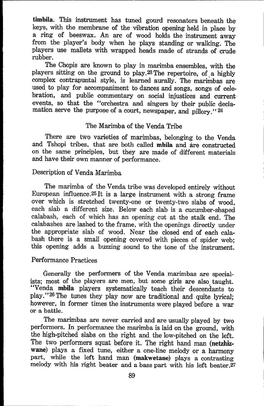**timbila.** This instrument has tuned gourd resonators beneath the keys, with the membrane of the vibration opening held in place by a ring of beeswax. An arc of wood holds the instrument away from the player's body when he plays standing or walking. The players use mallets with wrapped heads made of strands of crude rubber.

The Chopis are known to play in marimba ensembles, with the players sitting on the ground to play.23The repertoire, of a highly complex contrapuntal style, is learned aurally. The marimbas are used to play for accompaniment to dances and songs, songs of celebration, and public commentary on social injustices and current events, so that the "orchestra and singers by their public declamation serve the purpose of a court, newspaper, and pillory." 24

#### The Marimba of the Venda Tribe

There are two varieties of marimbas, belonging to the Venda and Tshopi tribes, that are both called **mbila** and are constructed on the same principles, but they are made of different materials and have their own manner of performance.

#### Description of Venda Marimba

The marimba of the Venda tribe was developed entirely without European influence.25It is a large instrument with a strong frame over which is stretched twenty-one or twenty-two slabs of wood, each slab a different size. Below each slab is a cucumber-shaped calabash, each of which has an opening cut at the stalk end. The calabashes are lashed to the frame, with the openings directly under the appropriate slab of wood. Near the closed end of each calabash there is a small opening covered with pieces of spider web; this opening adds a buzzing sound to the tone of the instrument.

#### Performance Practices

**i** 

Generally the performers of the Venda marimbas are specialists; most of the players are men, but some girls are also taught. "Venda mbila players systematically teach their descendants to play. " 26 The tunes they play now are traditional and quite lyrical; however, in former times the instruments were played before a war or a battle.

The marimbas are never carried and are usually played by two performers. In performance the marimba is laid on the ground, with the high-pitched slabs on the right and the low-pitched on the left. The two performers squat before it. The right hand man (netzhizwane) plays a fixed tune, either a one-line melody or a harmony part, while the left hand man (makwetane) plays a contrasting melody with his right beater and a bass part with his left beater.27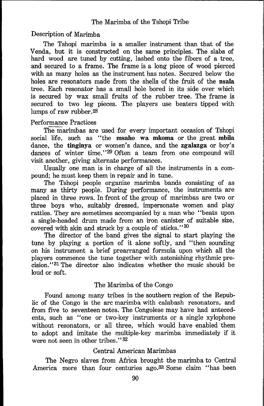# Description of Marimba

The Tshopi marimba is a smaller instrument than that of the Venda, but it is constructed on the same principles. The slabs of hard wood are tuned by cutting, lashed onto the fibers of a tree, and secured to a frame. The frame is a long piece of wood pierced with as many holes as the instrument has notes. Secured below the holes are resonators made from the shells of the fruit of the nsala tree. Each resonator has a small hole bored in its side over which is secured by wax small fruits of the rubber tree. The frame is secured to two leg pieces. The players use beaters tipped with lumps of raw rubber.28

## Performance Practices

The marimbas are used for every important occasion of Tshopi social life, such as "the msaho wa mkoma or the great mbila dance, the tinginya or women's dance, and the zgalazga or boy's dances of winter time."<sup>29</sup> Often a team from one compound will visit another, giving alternate performances.

Usually one man is in charge of all the instruments in a compound; he must keep them in repair and in tune.

The Tshopi people organize marimba bands consisting of as many as thirty people. During performance, the instruments are placed in three rows. In front of the group of marimbas are two or three boys who, suitably dressed, impersonate women and play rattles. They are sometimes accompanied by a man who "beats upon a single-headed drum made from an iron canister of suitable size, covered with skin and struck by a couple of sticks."<sup>30</sup>

The director of the band gives the signal to start playing the tune by playing a portion of it alone softly, and "then sounding on his instrument a brief prearranged formula upon which all the players commence the tune together with astonishing rhythmic precision. ''31 The director also indicates whether the music should be loud or soft.

# The Marimba of the Congo

Found among many tribes in the southern region of the Republic of the Congo is the arc marimba with calabash resonators, and from five to seventeen notes. The Congolese may have had antecedents, such as "one or two-key instruments or a single xylophone without resonators, or all three, which would have enabled them to adopt and imitate the multiple-key marimba immediately if it were not seen in other tribes."<sup>32</sup>

### Central American Marimbas

The Negro slaves from Africa brought the marimba to Central America more than four centuries ago.33 Some claim "has been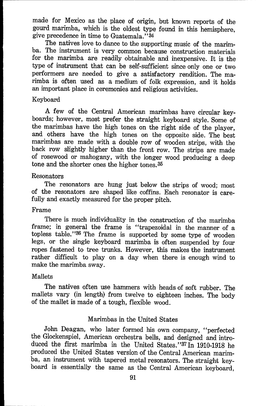made for Mexico as the place of origin, but known reports of the gourd marimba, which is the oldest type found in this hemisphere, give precedence in time to Guatemala."34

The natives love to dance to the supporting music of the marimba. The instrument is very common because construction materials for the marimba are readily obtainable and inexpensive. It is the type of instrument that can be self-sufficient since only one or two performers are needed to give a satisfactory rendition. The marimba is often used as a medium of folk expression, and it holds an important place in ceremonies and religious activities.

#### Keyboard

A few of the Central American marimbas have circular keyboards; however, most prefer the straight keyboard style. Some of the marimbas have the high tones on the right side of the player, and others have the high tones on the opposite side. The best marimbas are made with a double row of wooden strips, with the back row slightly higher than the front row. The strips are made of rosewood or mahogany, with the longer wood producing a deep tone and the shorter ones the higher tones. 35

#### Resonators

The resonators are hung just below the strips of wood; most of the resonators are shaped like coffins. Each resonator is carefully and exactly measured for the proper pitch.

#### Frame

There is much individuality in the construction of the marimba frame; in general the frame is "trapezoidal in the manner of a topless table. ''36 The frame is supported by some type of wooden legs, or the single keyboard marimba is often suspended by four ropes fastened to tree trunks. However, this makes the instrument rather difficult to play on a day when there is enough wind to make the marimba sway.

#### Mallets

The natives often use hammers with heads of soft rubber. The mallets vary (in length) from twelve to eighteen inches. The body of the mallet is made of a tough, flexible wood.

#### Marimbas in the United States

John Deagan, who later formed his own company, "perfected the Glockenspiel, American orchestra bells, and designed and introduced the first marimba in the United States. "37 In 1910-1918 he produced the United States version of the Central American marimba, an instrument with tapered metal resonators. The straight keyboard is essentially the same as the Central American keyboard,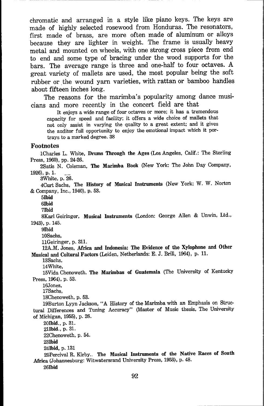chromatic and arranged in a style like piano keys. The keys are made of highly selected rosewood from Honduras. The resonators, first made of brass, are more often made of aluminum or alloys because they are lighter in weight. The frame is usually heavy metal and mounted on wheels, with one strong cross piece from end to end and some type of bracing under the wood supports for the bars. The average range is three and one-half to four octaves. A great variety of mallets are used, the most popular being the soft rubber or the wound yarn varieties, with rattan or bamboo handles about fifteen inches long.

The reasons for the marimba's popularity among dance musicians and more recently in the concert field are that

It enjoys a wide range of four octaves or more; it has a tremendous capacity for speed and facility; it offers a wide choice of mallets that not only assist in varying the quality to a great extent; and it gives the auditor full opportunity to enjoy the emotional impact which it portrays to a marked degree. 38

#### **Footnotes**

1Charles L. White, Drums Through the Ages (Los Angeles, Calif.: The Sterling Press, 1960), pp. 24-26.

2Satis N. Coleman, The Marimba Book (New York: The John Day Company, 1926), p. 1.

3White, p. 26.

4Curt Sachs, The History of Musical Instruments (New York: W. W. Norton & Company, Inc., 1940), p. 53.

**5Ibid** 

**6Ibid** 

**7Ibid** 

8Karl Geiringer, Musical Instruments (London: George Allen & Unwin, Ltd., 1943), p. 145.

**9Ibid** 

10Sachs,

llGeiringer, p. 311.

12A.M. Jones, Africa and Indonesia: The Evidence of the Xylophone and Other Musical and Cultural Factors (Leiden, Netherlands: E. J. Brill, 1964), p. 11.

13Sachs,

14White,

15Vida Chenoweth. The Marimbas of Guatemala (The University of Kentucky Press, 1964), p. 53.

16Jones, 17Sachs,

18Chenoweth, p. 53.

19Burton Lyyn Jackson, "A History of the Marimba with an Emphasis on Structural Differences and Tuning Accuracy" (Master of Music thesis, The University of Michigan, 1955), p. 26.

20Ibid., p. 31. 21Ibid., p. 31. 22Chenoweth, p. 54. 23Ibid 24Ibid, p. 131

25Percival R. Kirby.. The Musical Instruments of the Native Races of **South**  Africa (Johannesburg: Witwatersrand University Press, 1953), p. 48.

26Ibid